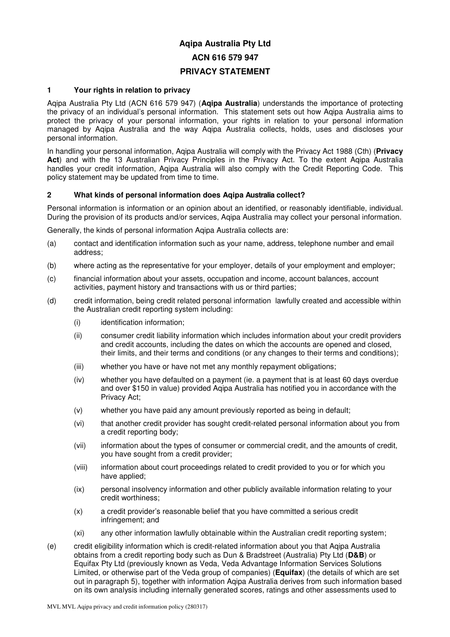# **Aqipa Australia Pty Ltd ACN 616 579 947 PRIVACY STATEMENT**

# **1 Your rights in relation to privacy**

Aqipa Australia Pty Ltd (ACN 616 579 947) (**Aqipa Australia**) understands the importance of protecting the privacy of an individual's personal information. This statement sets out how Aqipa Australia aims to protect the privacy of your personal information, your rights in relation to your personal information managed by Aqipa Australia and the way Aqipa Australia collects, holds, uses and discloses your personal information.

In handling your personal information, Aqipa Australia will comply with the Privacy Act 1988 (Cth) (**Privacy**  Act) and with the 13 Australian Privacy Principles in the Privacy Act. To the extent Aqipa Australia handles your credit information, Aqipa Australia will also comply with the Credit Reporting Code. This policy statement may be updated from time to time.

# **2 What kinds of personal information does Aqipa Australia collect?**

Personal information is information or an opinion about an identified, or reasonably identifiable, individual. During the provision of its products and/or services, Aqipa Australia may collect your personal information.

Generally, the kinds of personal information Aqipa Australia collects are:

- (a) contact and identification information such as your name, address, telephone number and email address;
- (b) where acting as the representative for your employer, details of your employment and employer;
- (c) financial information about your assets, occupation and income, account balances, account activities, payment history and transactions with us or third parties;
- (d) credit information, being credit related personal information lawfully created and accessible within the Australian credit reporting system including:
	- (i) identification information;
	- (ii) consumer credit liability information which includes information about your credit providers and credit accounts, including the dates on which the accounts are opened and closed, their limits, and their terms and conditions (or any changes to their terms and conditions);
	- (iii) whether you have or have not met any monthly repayment obligations;
	- (iv) whether you have defaulted on a payment (ie. a payment that is at least 60 days overdue and over \$150 in value) provided Aqipa Australia has notified you in accordance with the Privacy Act;
	- (v) whether you have paid any amount previously reported as being in default;
	- (vi) that another credit provider has sought credit-related personal information about you from a credit reporting body;
	- (vii) information about the types of consumer or commercial credit, and the amounts of credit, you have sought from a credit provider;
	- (viii) information about court proceedings related to credit provided to you or for which you have applied;
	- (ix) personal insolvency information and other publicly available information relating to your credit worthiness;
	- (x) a credit provider's reasonable belief that you have committed a serious credit infringement; and
	- (xi) any other information lawfully obtainable within the Australian credit reporting system;
- (e) credit eligibility information which is credit-related information about you that Aqipa Australia obtains from a credit reporting body such as Dun & Bradstreet (Australia) Pty Ltd (**D&B**) or Equifax Pty Ltd (previously known as Veda, Veda Advantage Information Services Solutions Limited, or otherwise part of the Veda group of companies) (**Equifax**) (the details of which are set out in paragraph 5), together with information Aqipa Australia derives from such information based on its own analysis including internally generated scores, ratings and other assessments used to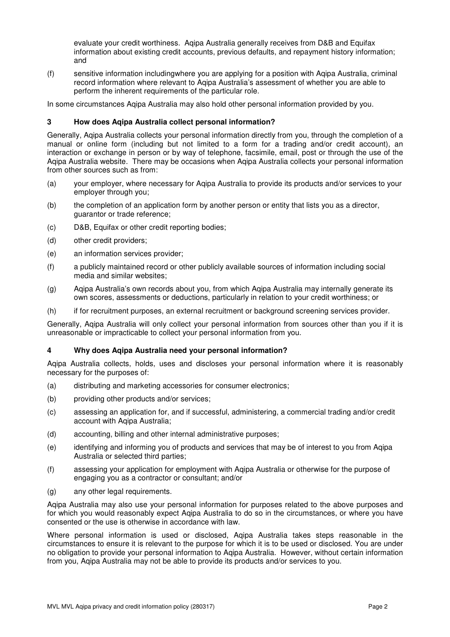evaluate your credit worthiness. Aqipa Australia generally receives from D&B and Equifax information about existing credit accounts, previous defaults, and repayment history information; and

(f) sensitive information includingwhere you are applying for a position with Aqipa Australia, criminal record information where relevant to Aqipa Australia's assessment of whether you are able to perform the inherent requirements of the particular role.

In some circumstances Aqipa Australia may also hold other personal information provided by you.

# **3 How does Aqipa Australia collect personal information?**

Generally, Aqipa Australia collects your personal information directly from you, through the completion of a manual or online form (including but not limited to a form for a trading and/or credit account), an interaction or exchange in person or by way of telephone, facsimile, email, post or through the use of the Aqipa Australia website. There may be occasions when Aqipa Australia collects your personal information from other sources such as from:

- (a) your employer, where necessary for Aqipa Australia to provide its products and/or services to your employer through you;
- (b) the completion of an application form by another person or entity that lists you as a director, guarantor or trade reference;
- (c) D&B, Equifax or other credit reporting bodies;
- (d) other credit providers;
- (e) an information services provider;
- (f) a publicly maintained record or other publicly available sources of information including social media and similar websites;
- (g) Aqipa Australia's own records about you, from which Aqipa Australia may internally generate its own scores, assessments or deductions, particularly in relation to your credit worthiness; or
- (h) if for recruitment purposes, an external recruitment or background screening services provider.

Generally, Aqipa Australia will only collect your personal information from sources other than you if it is unreasonable or impracticable to collect your personal information from you.

## **4 Why does Aqipa Australia need your personal information?**

Aqipa Australia collects, holds, uses and discloses your personal information where it is reasonably necessary for the purposes of:

- (a) distributing and marketing accessories for consumer electronics;
- (b) providing other products and/or services;
- (c) assessing an application for, and if successful, administering, a commercial trading and/or credit account with Aqipa Australia;
- (d) accounting, billing and other internal administrative purposes;
- (e) identifying and informing you of products and services that may be of interest to you from Aqipa Australia or selected third parties;
- (f) assessing your application for employment with Aqipa Australia or otherwise for the purpose of engaging you as a contractor or consultant; and/or
- (g) any other legal requirements.

Aqipa Australia may also use your personal information for purposes related to the above purposes and for which you would reasonably expect Aqipa Australia to do so in the circumstances, or where you have consented or the use is otherwise in accordance with law.

Where personal information is used or disclosed, Aqipa Australia takes steps reasonable in the circumstances to ensure it is relevant to the purpose for which it is to be used or disclosed. You are under no obligation to provide your personal information to Aqipa Australia. However, without certain information from you, Aqipa Australia may not be able to provide its products and/or services to you.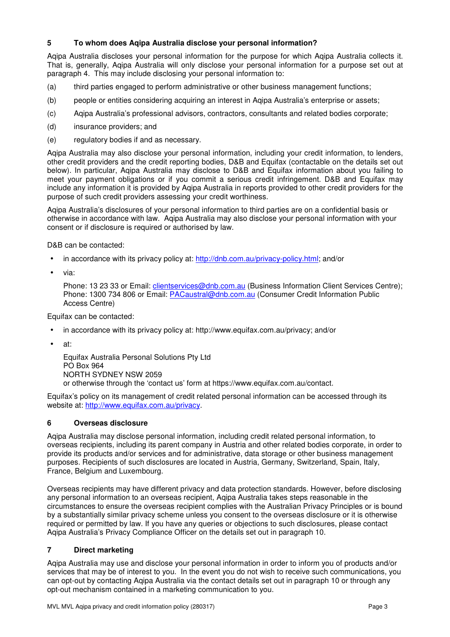# **5 To whom does Aqipa Australia disclose your personal information?**

Aqipa Australia discloses your personal information for the purpose for which Aqipa Australia collects it. That is, generally, Aqipa Australia will only disclose your personal information for a purpose set out at paragraph 4. This may include disclosing your personal information to:

- (a) third parties engaged to perform administrative or other business management functions;
- (b) people or entities considering acquiring an interest in Aqipa Australia's enterprise or assets;
- (c) Aqipa Australia's professional advisors, contractors, consultants and related bodies corporate;
- (d) insurance providers; and
- (e) regulatory bodies if and as necessary.

Aqipa Australia may also disclose your personal information, including your credit information, to lenders, other credit providers and the credit reporting bodies, D&B and Equifax (contactable on the details set out below). In particular, Aqipa Australia may disclose to D&B and Equifax information about you failing to meet your payment obligations or if you commit a serious credit infringement. D&B and Equifax may include any information it is provided by Aqipa Australia in reports provided to other credit providers for the purpose of such credit providers assessing your credit worthiness.

Aqipa Australia's disclosures of your personal information to third parties are on a confidential basis or otherwise in accordance with law. Aqipa Australia may also disclose your personal information with your consent or if disclosure is required or authorised by law.

D&B can be contacted:

- in accordance with its privacy policy at: http://dnb.com.au/privacy-policy.html; and/or
- via:

Phone: 13 23 33 or Email: clientservices@dnb.com.au (Business Information Client Services Centre); Phone: 1300 734 806 or Email: PACaustral@dnb.com.au (Consumer Credit Information Public Access Centre)

Equifax can be contacted:

- in accordance with its privacy policy at: http://www.equifax.com.au/privacy; and/or
- at:

Equifax Australia Personal Solutions Pty Ltd PO Box 964 NORTH SYDNEY NSW 2059 or otherwise through the 'contact us' form at https://www.equifax.com.au/contact.

Equifax's policy on its management of credit related personal information can be accessed through its website at: http://www.equifax.com.au/privacy.

# **6 Overseas disclosure**

Aqipa Australia may disclose personal information, including credit related personal information, to overseas recipients, including its parent company in Austria and other related bodies corporate, in order to provide its products and/or services and for administrative, data storage or other business management purposes. Recipients of such disclosures are located in Austria, Germany, Switzerland, Spain, Italy, France, Belgium and Luxembourg.

Overseas recipients may have different privacy and data protection standards. However, before disclosing any personal information to an overseas recipient, Aqipa Australia takes steps reasonable in the circumstances to ensure the overseas recipient complies with the Australian Privacy Principles or is bound by a substantially similar privacy scheme unless you consent to the overseas disclosure or it is otherwise required or permitted by law. If you have any queries or objections to such disclosures, please contact Aqipa Australia's Privacy Compliance Officer on the details set out in paragraph 10.

# **7 Direct marketing**

Aqipa Australia may use and disclose your personal information in order to inform you of products and/or services that may be of interest to you. In the event you do not wish to receive such communications, you can opt-out by contacting Aqipa Australia via the contact details set out in paragraph 10 or through any opt-out mechanism contained in a marketing communication to you.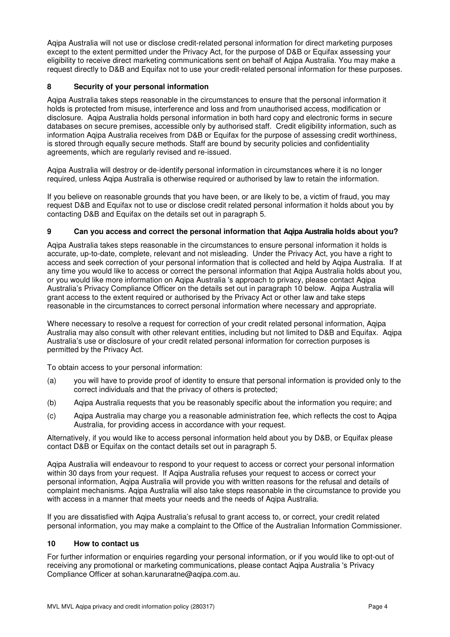Aqipa Australia will not use or disclose credit-related personal information for direct marketing purposes except to the extent permitted under the Privacy Act, for the purpose of D&B or Equifax assessing your eligibility to receive direct marketing communications sent on behalf of Aqipa Australia. You may make a request directly to D&B and Equifax not to use your credit-related personal information for these purposes.

# **8 Security of your personal information**

Aqipa Australia takes steps reasonable in the circumstances to ensure that the personal information it holds is protected from misuse, interference and loss and from unauthorised access, modification or disclosure. Aqipa Australia holds personal information in both hard copy and electronic forms in secure databases on secure premises, accessible only by authorised staff. Credit eligibility information, such as information Aqipa Australia receives from D&B or Equifax for the purpose of assessing credit worthiness, is stored through equally secure methods. Staff are bound by security policies and confidentiality agreements, which are regularly revised and re-issued.

Aqipa Australia will destroy or de-identify personal information in circumstances where it is no longer required, unless Aqipa Australia is otherwise required or authorised by law to retain the information.

If you believe on reasonable grounds that you have been, or are likely to be, a victim of fraud, you may request D&B and Equifax not to use or disclose credit related personal information it holds about you by contacting D&B and Equifax on the details set out in paragraph 5.

# **9 Can you access and correct the personal information that Aqipa Australia holds about you?**

Aqipa Australia takes steps reasonable in the circumstances to ensure personal information it holds is accurate, up-to-date, complete, relevant and not misleading. Under the Privacy Act, you have a right to access and seek correction of your personal information that is collected and held by Aqipa Australia. If at any time you would like to access or correct the personal information that Aqipa Australia holds about you, or you would like more information on Aqipa Australia 's approach to privacy, please contact Aqipa Australia's Privacy Compliance Officer on the details set out in paragraph 10 below. Aqipa Australia will grant access to the extent required or authorised by the Privacy Act or other law and take steps reasonable in the circumstances to correct personal information where necessary and appropriate.

Where necessary to resolve a request for correction of your credit related personal information, Aqipa Australia may also consult with other relevant entities, including but not limited to D&B and Equifax. Aqipa Australia's use or disclosure of your credit related personal information for correction purposes is permitted by the Privacy Act.

To obtain access to your personal information:

- (a) you will have to provide proof of identity to ensure that personal information is provided only to the correct individuals and that the privacy of others is protected;
- (b) Aqipa Australia requests that you be reasonably specific about the information you require; and
- (c) Aqipa Australia may charge you a reasonable administration fee, which reflects the cost to Aqipa Australia, for providing access in accordance with your request.

Alternatively, if you would like to access personal information held about you by D&B, or Equifax please contact D&B or Equifax on the contact details set out in paragraph 5.

Aqipa Australia will endeavour to respond to your request to access or correct your personal information within 30 days from your request. If Aqipa Australia refuses your request to access or correct your personal information, Aqipa Australia will provide you with written reasons for the refusal and details of complaint mechanisms. Aqipa Australia will also take steps reasonable in the circumstance to provide you with access in a manner that meets your needs and the needs of Aqipa Australia.

If you are dissatisfied with Aqipa Australia's refusal to grant access to, or correct, your credit related personal information, you may make a complaint to the Office of the Australian Information Commissioner.

# **10 How to contact us**

For further information or enquiries regarding your personal information, or if you would like to opt-out of receiving any promotional or marketing communications, please contact Aqipa Australia 's Privacy Compliance Officer at sohan.karunaratne@aqipa.com.au.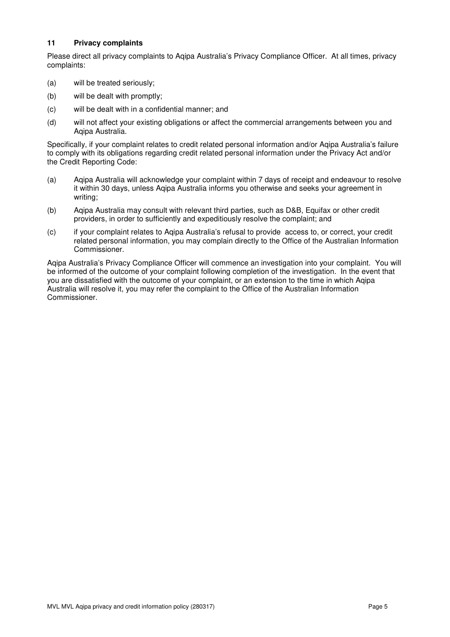# **11 Privacy complaints**

Please direct all privacy complaints to Aqipa Australia's Privacy Compliance Officer. At all times, privacy complaints:

- (a) will be treated seriously;
- (b) will be dealt with promptly;
- (c) will be dealt with in a confidential manner; and
- (d) will not affect your existing obligations or affect the commercial arrangements between you and Aqipa Australia.

Specifically, if your complaint relates to credit related personal information and/or Aqipa Australia's failure to comply with its obligations regarding credit related personal information under the Privacy Act and/or the Credit Reporting Code:

- (a) Aqipa Australia will acknowledge your complaint within 7 days of receipt and endeavour to resolve it within 30 days, unless Aqipa Australia informs you otherwise and seeks your agreement in writing;
- (b) Aqipa Australia may consult with relevant third parties, such as D&B, Equifax or other credit providers, in order to sufficiently and expeditiously resolve the complaint; and
- (c) if your complaint relates to Aqipa Australia's refusal to provide access to, or correct, your credit related personal information, you may complain directly to the Office of the Australian Information Commissioner.

Aqipa Australia's Privacy Compliance Officer will commence an investigation into your complaint. You will be informed of the outcome of your complaint following completion of the investigation. In the event that you are dissatisfied with the outcome of your complaint, or an extension to the time in which Aqipa Australia will resolve it, you may refer the complaint to the Office of the Australian Information Commissioner.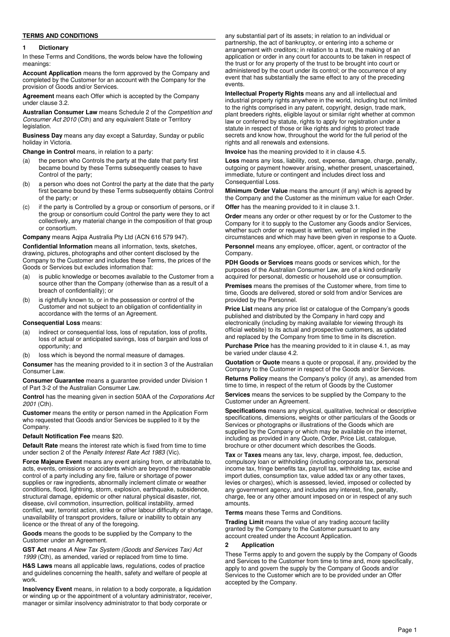### **TERMS AND CONDITIONS**

#### **1 Dictionary**

In these Terms and Conditions, the words below have the following meanings:

**Account Application** means the form approved by the Company and completed by the Customer for an account with the Company for the provision of Goods and/or Services.

**Agreement** means each Offer which is accepted by the Company under clause 3.2.

**Australian Consumer Law** means Schedule 2 of the Competition and Consumer Act 2010 (Cth) and any equivalent State or Territory legislation.

**Business Day** means any day except a Saturday, Sunday or public holiday in Victoria.

**Change in Control** means, in relation to a party:

- the person who Controls the party at the date that party first became bound by these Terms subsequently ceases to have Control of the party;
- (b) a person who does not Control the party at the date that the party first became bound by these Terms subsequently obtains Control of the party; or
- (c) if the party is Controlled by a group or consortium of persons, or if the group or consortium could Control the party were they to act collectively, any material change in the composition of that group or consortium.

**Company** means Aqipa Australia Pty Ltd (ACN 616 579 947).

**Confidential Information** means all information, texts, sketches, drawing, pictures, photographs and other content disclosed by the Company to the Customer and includes these Terms, the prices of the Goods or Services but excludes information that:

- (a) is public knowledge or becomes available to the Customer from a source other than the Company (otherwise than as a result of a breach of confidentiality); or
- (b) is rightfully known to, or in the possession or control of the Customer and not subject to an obligation of confidentiality in accordance with the terms of an Agreement.

#### **Consequential Loss** means:

- (a) indirect or consequential loss, loss of reputation, loss of profits, loss of actual or anticipated savings, loss of bargain and loss of opportunity; and
- loss which is beyond the normal measure of damages.

**Consumer** has the meaning provided to it in section 3 of the Australian Consumer Law.

**Consumer Guarantee** means a guarantee provided under Division 1 of Part 3-2 of the Australian Consumer Law.

**Control** has the meaning given in section 50AA of the Corporations Act 2001 (Cth).

**Customer** means the entity or person named in the Application Form who requested that Goods and/or Services be supplied to it by the Company.

#### **Default Notification Fee** means \$20.

**Default Rate** means the interest rate which is fixed from time to time under section 2 of the Penalty Interest Rate Act 1983 (Vic).

**Force Majeure Event** means any event arising from, or attributable to, acts, events, omissions or accidents which are beyond the reasonable control of a party including any fire, failure or shortage of power supplies or raw ingredients, abnormally inclement climate or weather conditions, flood, lightning, storm, explosion, earthquake, subsidence, structural damage, epidemic or other natural physical disaster, riot, disease, civil commotion, insurrection, political instability, armed conflict, war, terrorist action, strike or other labour difficulty or shortage, unavailability of transport providers, failure or inability to obtain any licence or the threat of any of the foregoing.

**Goods** means the goods to be supplied by the Company to the Customer under an Agreement.

**GST Act** means A New Tax System (Goods and Services Tax) Act 1999 (Cth), as amended, varied or replaced from time to time.

**H&S Laws** means all applicable laws, regulations, codes of practice and guidelines concerning the health, safety and welfare of people at work.

**Insolvency Event** means, in relation to a body corporate, a liquidation or winding up or the appointment of a voluntary administrator, receiver, manager or similar insolvency administrator to that body corporate or

any substantial part of its assets; in relation to an individual or partnership, the act of bankruptcy, or entering into a scheme or arrangement with creditors; in relation to a trust, the making of an application or order in any court for accounts to be taken in respect of the trust or for any property of the trust to be brought into court or administered by the court under its control; or the occurrence of any event that has substantially the same effect to any of the preceding events.

**Intellectual Property Rights** means any and all intellectual and industrial property rights anywhere in the world, including but not limited to the rights comprised in any patent, copyright, design, trade mark, plant breeders rights, eligible layout or similar right whether at common law or conferred by statute, rights to apply for registration under a statute in respect of those or like rights and rights to protect trade secrets and know how, throughout the world for the full period of the rights and all renewals and extensions.

**Invoice** has the meaning provided to it in clause 4.5.

**Loss** means any loss, liability, cost, expense, damage, charge, penalty, outgoing or payment however arising, whether present, unascertained, immediate, future or contingent and includes direct loss and Consequential Loss.

**Minimum Order Value** means the amount (if any) which is agreed by the Company and the Customer as the minimum value for each Order.

**Offer** has the meaning provided to it in clause 3.1.

**Order** means any order or other request by or for the Customer to the Company for it to supply to the Customer any Goods and/or Services, whether such order or request is written, verbal or implied in the circumstances and which may have been given in response to a Quote.

**Personnel** means any employee, officer, agent, or contractor of the Company.

**PDH Goods or Services** means goods or services which, for the purposes of the Australian Consumer Law, are of a kind ordinarily acquired for personal, domestic or household use or consumption.

**Premises** means the premises of the Customer where, from time to time, Goods are delivered, stored or sold from and/or Services are provided by the Personnel.

**Price List** means any price list or catalogue of the Company's goods published and distributed by the Company in hard copy and electronically (including by making available for viewing through its official website) to its actual and prospective customers, as updated and replaced by the Company from time to time in its discretion.

**Purchase Price** has the meaning provided to it in clause 4.1, as may be varied under clause 4.2.

**Quotation** or **Quote** means a quote or proposal, if any, provided by the Company to the Customer in respect of the Goods and/or Services.

**Returns Policy** means the Company's policy (if any), as amended from time to time, in respect of the return of Goods by the Customer

**Services** means the services to be supplied by the Company to the Customer under an Agreement.

**Specifications** means any physical, qualitative, technical or descriptive specifications, dimensions, weights or other particulars of the Goods or Services or photographs or illustrations of the Goods which are supplied by the Company or which may be available on the internet, including as provided in any Quote, Order, Price List, catalogue, brochure or other document which describes the Goods.

**Tax** or **Taxes** means any tax, levy, charge, impost, fee, deduction, compulsory loan or withholding (including corporate tax, personal income tax, fringe benefits tax, payroll tax, withholding tax, excise and import duties, consumption tax, value added tax or any other taxes, levies or charges), which is assessed, levied, imposed or collected by any government agency, and includes any interest, fine, penalty, charge, fee or any other amount imposed on or in respect of any such amounts.

**Terms** means these Terms and Conditions.

**Trading Limit** means the value of any trading account facility granted by the Company to the Customer pursuant to any account created under the Account Application.

#### **2 Application**

These Terms apply to and govern the supply by the Company of Goods and Services to the Customer from time to time and, more specifically, apply to and govern the supply by the Company of Goods and/or Services to the Customer which are to be provided under an Offer accepted by the Company.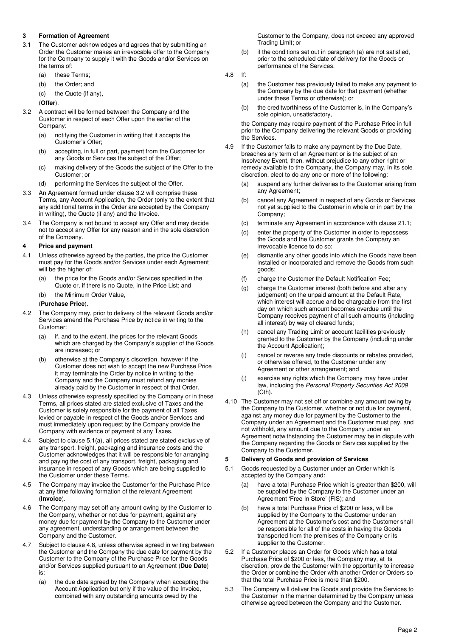### **3 Formation of Agreement**

- 3.1 The Customer acknowledges and agrees that by submitting an Order the Customer makes an irrevocable offer to the Company for the Company to supply it with the Goods and/or Services on the terms of:
	- (a) these Terms;
	- (b) the Order; and
	- (c) the Quote (if any),

(**Offer**).

- 3.2 A contract will be formed between the Company and the Customer in respect of each Offer upon the earlier of the Company:
	- (a) notifying the Customer in writing that it accepts the Customer's Offer;
	- (b) accepting, in full or part, payment from the Customer for any Goods or Services the subject of the Offer;
	- (c) making delivery of the Goods the subject of the Offer to the Customer; or
	- (d) performing the Services the subject of the Offer.
- 3.3 An Agreement formed under clause 3.2 will comprise these Terms, any Account Application, the Order (only to the extent that any additional terms in the Order are accepted by the Company in writing), the Quote (if any) and the Invoice.
- 3.4 The Company is not bound to accept any Offer and may decide not to accept any Offer for any reason and in the sole discretion of the Company.

#### **4 Price and payment**

- 4.1 Unless otherwise agreed by the parties, the price the Customer must pay for the Goods and/or Services under each Agreement will be the higher of:
	- (a) the price for the Goods and/or Services specified in the Quote or, if there is no Quote, in the Price List; and
	- (b) the Minimum Order Value,

### (**Purchase Price**).

- 4.2 The Company may, prior to delivery of the relevant Goods and/or Services amend the Purchase Price by notice in writing to the Customer:
	- (a) if, and to the extent, the prices for the relevant Goods which are charged by the Company's supplier of the Goods are increased; or
	- (b) otherwise at the Company's discretion, however if the Customer does not wish to accept the new Purchase Price it may terminate the Order by notice in writing to the Company and the Company must refund any monies already paid by the Customer in respect of that Order.
- 4.3 Unless otherwise expressly specified by the Company or in these Terms, all prices stated are stated exclusive of Taxes and the Customer is solely responsible for the payment of all Taxes levied or payable in respect of the Goods and/or Services and must immediately upon request by the Company provide the Company with evidence of payment of any Taxes.
- 4.4 Subject to clause 5.1(a), all prices stated are stated exclusive of any transport, freight, packaging and insurance costs and the Customer acknowledges that it will be responsible for arranging and paying the cost of any transport, freight, packaging and insurance in respect of any Goods which are being supplied to the Customer under these Terms.
- 4.5 The Company may invoice the Customer for the Purchase Price at any time following formation of the relevant Agreement (**Invoice**).
- 4.6 The Company may set off any amount owing by the Customer to the Company, whether or not due for payment, against any money due for payment by the Company to the Customer under any agreement, understanding or arrangement between the Company and the Customer.
- 4.7 Subject to clause 4.8, unless otherwise agreed in writing between the Customer and the Company the due date for payment by the Customer to the Company of the Purchase Price for the Goods and/or Services supplied pursuant to an Agreement (**Due Date**) is:
	- (a) the due date agreed by the Company when accepting the Account Application but only if the value of the Invoice, combined with any outstanding amounts owed by the

Customer to the Company, does not exceed any approved Trading Limit; or

(b) if the conditions set out in paragraph (a) are not satisfied, prior to the scheduled date of delivery for the Goods or performance of the Services.

4.8 If:

- (a) the Customer has previously failed to make any payment to the Company by the due date for that payment (whether under these Terms or otherwise); or
- (b) the creditworthiness of the Customer is, in the Company's sole opinion, unsatisfactory,

the Company may require payment of the Purchase Price in full prior to the Company delivering the relevant Goods or providing the Services.

- 4.9 If the Customer fails to make any payment by the Due Date, breaches any term of an Agreement or is the subject of an Insolvency Event, then, without prejudice to any other right or remedy available to the Company, the Company may, in its sole discretion, elect to do any one or more of the following:
	- (a) suspend any further deliveries to the Customer arising from any Agreement;
	- (b) cancel any Agreement in respect of any Goods or Services not yet supplied to the Customer in whole or in part by the Company;
	- (c) terminate any Agreement in accordance with clause 21.1;
	- (d) enter the property of the Customer in order to repossess the Goods and the Customer grants the Company an irrevocable licence to do so;
	- (e) dismantle any other goods into which the Goods have been installed or incorporated and remove the Goods from such goods;
	- (f) charge the Customer the Default Notification Fee;
	- (g) charge the Customer interest (both before and after any judgement) on the unpaid amount at the Default Rate, which interest will accrue and be chargeable from the first day on which such amount becomes overdue until the Company receives payment of all such amounts (including all interest) by way of cleared funds;
	- (h) cancel any Trading Limit or account facilities previously granted to the Customer by the Company (including under the Account Application);
	- (i) cancel or reverse any trade discounts or rebates provided, or otherwise offered, to the Customer under any Agreement or other arrangement; and
	- (j) exercise any rights which the Company may have under law, including the Personal Property Securities Act 2009 (Cth).
- 4.10 The Customer may not set off or combine any amount owing by the Company to the Customer, whether or not due for payment, against any money due for payment by the Customer to the Company under an Agreement and the Customer must pay, and not withhold, any amount due to the Company under an Agreement notwithstanding the Customer may be in dispute with the Company regarding the Goods or Services supplied by the Company to the Customer.

#### **5 Delivery of Goods and provision of Services**

- 5.1 Goods requested by a Customer under an Order which is accepted by the Company and:
	- (a) have a total Purchase Price which is greater than \$200, will be supplied by the Company to the Customer under an Agreement 'Free In Store' (FIS); and
	- (b) have a total Purchase Price of \$200 or less, will be supplied by the Company to the Customer under an Agreement at the Customer's cost and the Customer shall be responsible for all of the costs in having the Goods transported from the premises of the Company or its supplier to the Customer.
- 5.2 If a Customer places an Order for Goods which has a total Purchase Price of \$200 or less, the Company may, at its discretion, provide the Customer with the opportunity to increase the Order or combine the Order with another Order or Orders so that the total Purchase Price is more than \$200.
- 5.3 The Company will deliver the Goods and provide the Services to the Customer in the manner determined by the Company unless otherwise agreed between the Company and the Customer.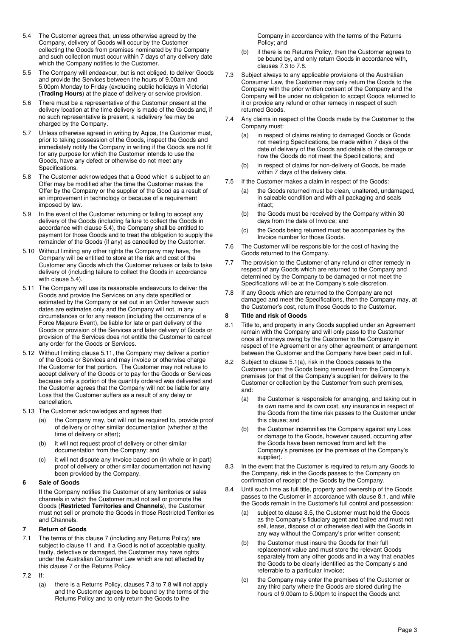- 5.4 The Customer agrees that, unless otherwise agreed by the Company, delivery of Goods will occur by the Customer collecting the Goods from premises nominated by the Company and such collection must occur within 7 days of any delivery date which the Company notifies to the Customer.
- 5.5 The Company will endeavour, but is not obliged, to deliver Goods and provide the Services between the hours of 9.00am and 5.00pm Monday to Friday (excluding public holidays in Victoria) (**Trading Hours**) at the place of delivery or service provision.
- 5.6 There must be a representative of the Customer present at the delivery location at the time delivery is made of the Goods and, if no such representative is present, a redelivery fee may be charged by the Company.
- 5.7 Unless otherwise agreed in writing by Aqipa, the Customer must, prior to taking possession of the Goods, inspect the Goods and immediately notify the Company in writing if the Goods are not fit for any purpose for which the Customer intends to use the Goods, have any defect or otherwise do not meet any Specifications.
- 5.8 The Customer acknowledges that a Good which is subject to an Offer may be modified after the time the Customer makes the Offer by the Company or the supplier of the Good as a result of an improvement in technology or because of a requirement imposed by law.
- 5.9 In the event of the Customer returning or failing to accept any delivery of the Goods (including failure to collect the Goods in accordance with clause 5.4), the Company shall be entitled to payment for those Goods and to treat the obligation to supply the remainder of the Goods (if any) as cancelled by the Customer.
- 5.10 Without limiting any other rights the Company may have, the Company will be entitled to store at the risk and cost of the Customer any Goods which the Customer refuses or fails to take delivery of (including failure to collect the Goods in accordance with clause 5.4).
- 5.11 The Company will use its reasonable endeavours to deliver the Goods and provide the Services on any date specified or estimated by the Company or set out in an Order however such dates are estimates only and the Company will not, in any circumstances or for any reason (including the occurrence of a Force Majeure Event), be liable for late or part delivery of the Goods or provision of the Services and later delivery of Goods or provision of the Services does not entitle the Customer to cancel any order for the Goods or Services.
- 5.12 Without limiting clause 5.11, the Company may deliver a portion of the Goods or Services and may invoice or otherwise charge the Customer for that portion. The Customer may not refuse to accept delivery of the Goods or to pay for the Goods or Services because only a portion of the quantity ordered was delivered and the Customer agrees that the Company will not be liable for any Loss that the Customer suffers as a result of any delay or cancellation.
- 5.13 The Customer acknowledges and agrees that:
	- (a) the Company may, but will not be required to, provide proof of delivery or other similar documentation (whether at the time of delivery or after);
	- (b) it will not request proof of delivery or other similar documentation from the Company; and
	- (c) it will not dispute any Invoice based on (in whole or in part) proof of delivery or other similar documentation not having been provided by the Company.

### **6 Sale of Goods**

If the Company notifies the Customer of any territories or sales channels in which the Customer must not sell or promote the Goods (**Restricted Territories and Channels**), the Customer must not sell or promote the Goods in those Restricted Territories and Channels.

#### **7 Return of Goods**

- 7.1 The terms of this clause 7 (including any Returns Policy) are subject to clause 11 and, if a Good is not of acceptable quality, faulty, defective or damaged, the Customer may have rights under the Australian Consumer Law which are not affected by this clause 7 or the Returns Policy.
- 7.2 If:
	- (a) there is a Returns Policy, clauses 7.3 to 7.8 will not apply and the Customer agrees to be bound by the terms of the Returns Policy and to only return the Goods to the

Company in accordance with the terms of the Returns Policy; and

- (b) if there is no Returns Policy, then the Customer agrees to be bound by, and only return Goods in accordance with, clauses 7.3 to 7.8.
- 7.3 Subject always to any applicable provisions of the Australian Consumer Law, the Customer may only return the Goods to the Company with the prior written consent of the Company and the Company will be under no obligation to accept Goods returned to it or provide any refund or other remedy in respect of such returned Goods.
- 7.4 Any claims in respect of the Goods made by the Customer to the Company must:
	- (a) in respect of claims relating to damaged Goods or Goods not meeting Specifications, be made within 7 days of the date of delivery of the Goods and details of the damage or how the Goods do not meet the Specifications; and
	- (b) in respect of claims for non-delivery of Goods, be made within 7 days of the delivery date.
- 7.5 If the Customer makes a claim in respect of the Goods:
	- (a) the Goods returned must be clean, unaltered, undamaged, in saleable condition and with all packaging and seals intact;
	- (b) the Goods must be received by the Company within 30 days from the date of Invoice; and
	- (c) the Goods being returned must be accompanies by the Invoice number for those Goods.
- 7.6 The Customer will be responsible for the cost of having the Goods returned to the Company.
- 7.7 The provision to the Customer of any refund or other remedy in respect of any Goods which are returned to the Company and determined by the Company to be damaged or not meet the Specifications will be at the Company's sole discretion.
- 7.8 If any Goods which are returned to the Company are not damaged and meet the Specifications, then the Company may, at the Customer's cost, return those Goods to the Customer.

### **8 Title and risk of Goods**

- 8.1 Title to, and property in any Goods supplied under an Agreement remain with the Company and will only pass to the Customer once all moneys owing by the Customer to the Company in respect of the Agreement or any other agreement or arrangement between the Customer and the Company have been paid in full.
- 8.2 Subject to clause 5.1(a), risk in the Goods passes to the Customer upon the Goods being removed from the Company's premises (or that of the Company's supplier) for delivery to the Customer or collection by the Customer from such premises, and:
	- (a) the Customer is responsible for arranging, and taking out in its own name and its own cost, any insurance in respect of the Goods from the time risk passes to the Customer under this clause; and
	- (b) the Customer indemnifies the Company against any Loss or damage to the Goods, however caused, occurring after the Goods have been removed from and left the Company's premises (or the premises of the Company's supplier).
- 8.3 In the event that the Customer is required to return any Goods to the Company, risk in the Goods passes to the Company on confirmation of receipt of the Goods by the Company.
- 8.4 Until such time as full title, property and ownership of the Goods passes to the Customer in accordance with clause 8.1, and while the Goods remain in the Customer's full control and possession:
	- (a) subject to clause 8.5, the Customer must hold the Goods as the Company's fiduciary agent and bailee and must not sell, lease, dispose of or otherwise deal with the Goods in any way without the Company's prior written consent;
	- (b) the Customer must insure the Goods for their full replacement value and must store the relevant Goods separately from any other goods and in a way that enables the Goods to be clearly identified as the Company's and referrable to a particular Invoice;
	- (c) the Company may enter the premises of the Customer or any third party where the Goods are stored during the hours of 9.00am to 5.00pm to inspect the Goods and: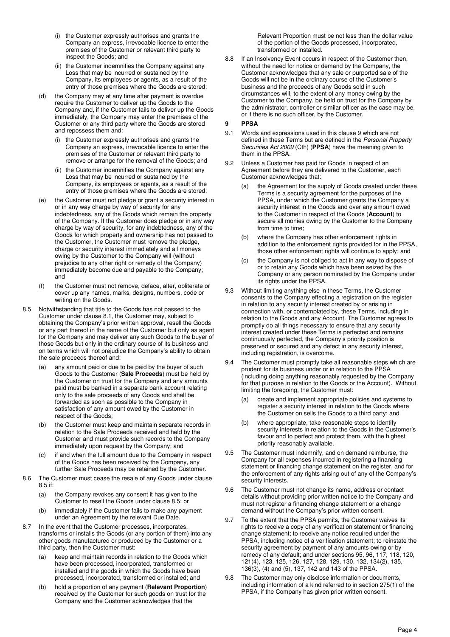- (i) the Customer expressly authorises and grants the Company an express, irrevocable licence to enter the premises of the Customer or relevant third party to inspect the Goods; and
- (ii) the Customer indemnifies the Company against any Loss that may be incurred or sustained by the Company, its employees or agents, as a result of the entry of those premises where the Goods are stored;
- (d) the Company may at any time after payment is overdue require the Customer to deliver up the Goods to the Company and, if the Customer fails to deliver up the Goods immediately, the Company may enter the premises of the Customer or any third party where the Goods are stored and repossess them and:
	- the Customer expressly authorises and grants the Company an express, irrevocable licence to enter the premises of the Customer or relevant third party to remove or arrange for the removal of the Goods; and
	- (ii) the Customer indemnifies the Company against any Loss that may be incurred or sustained by the Company, its employees or agents, as a result of the entry of those premises where the Goods are stored;
- (e) the Customer must not pledge or grant a security interest in or in any way charge by way of security for any indebtedness, any of the Goods which remain the property of the Company. If the Customer does pledge or in any way charge by way of security, for any indebtedness, any of the Goods for which property and ownership has not passed to the Customer, the Customer must remove the pledge, charge or security interest immediately and all moneys owing by the Customer to the Company will (without prejudice to any other right or remedy of the Company) immediately become due and payable to the Company; and
- (f) the Customer must not remove, deface, alter, obliterate or cover up any names, marks, designs, numbers, code or writing on the Goods.
- 8.5 Notwithstanding that title to the Goods has not passed to the Customer under clause 8.1, the Customer may, subject to obtaining the Company's prior written approval, resell the Goods or any part thereof in the name of the Customer but only as agent for the Company and may deliver any such Goods to the buyer of those Goods but only in the ordinary course of its business and on terms which will not prejudice the Company's ability to obtain the sale proceeds thereof and:
	- (a) any amount paid or due to be paid by the buyer of such Goods to the Customer (**Sale Proceeds**) must be held by the Customer on trust for the Company and any amounts paid must be banked in a separate bank account relating only to the sale proceeds of any Goods and shall be forwarded as soon as possible to the Company in satisfaction of any amount owed by the Customer in respect of the Goods;
	- (b) the Customer must keep and maintain separate records in relation to the Sale Proceeds received and held by the Customer and must provide such records to the Company immediately upon request by the Company; and
	- (c) if and when the full amount due to the Company in respect of the Goods has been received by the Company, any further Sale Proceeds may be retained by the Customer.
- 8.6 The Customer must cease the resale of any Goods under clause 8.5 if:
	- (a) the Company revokes any consent it has given to the Customer to resell the Goods under clause 8.5; or
	- (b) immediately if the Customer fails to make any payment under an Agreement by the relevant Due Date.
- 8.7 In the event that the Customer processes, incorporates, transforms or installs the Goods (or any portion of them) into any other goods manufactured or produced by the Customer or a third party, then the Customer must:
	- (a) keep and maintain records in relation to the Goods which have been processed, incorporated, transformed or installed and the goods in which the Goods have been processed, incorporated, transformed or installed; and
	- (b) hold a proportion of any payment (**Relevant Proportion**) received by the Customer for such goods on trust for the Company and the Customer acknowledges that the

Relevant Proportion must be not less than the dollar value of the portion of the Goods processed, incorporated, transformed or installed.

8.8 If an Insolvency Event occurs in respect of the Customer then, without the need for notice or demand by the Company, the Customer acknowledges that any sale or purported sale of the Goods will not be in the ordinary course of the Customer's business and the proceeds of any Goods sold in such circumstances will, to the extent of any money owing by the Customer to the Company, be held on trust for the Company by the administrator, controller or similar officer as the case may be, or if there is no such officer, by the Customer.

### **9 PPSA**

- 9.1 Words and expressions used in this clause 9 which are not defined in these Terms but are defined in the Personal Property Securities Act 2009 (Cth) (**PPSA**) have the meaning given to them in the PPSA.
- 9.2 Unless a Customer has paid for Goods in respect of an Agreement before they are delivered to the Customer, each Customer acknowledges that:
	- (a) the Agreement for the supply of Goods created under these Terms is a security agreement for the purposes of the PPSA, under which the Customer grants the Company a security interest in the Goods and over any amount owed to the Customer in respect of the Goods (**Account**) to secure all monies owing by the Customer to the Company from time to time;
	- (b) where the Company has other enforcement rights in addition to the enforcement rights provided for in the PPSA, those other enforcement rights will continue to apply; and
	- (c) the Company is not obliged to act in any way to dispose of or to retain any Goods which have been seized by the Company or any person nominated by the Company under its rights under the PPSA.
- 9.3 Without limiting anything else in these Terms, the Customer consents to the Company effecting a registration on the register in relation to any security interest created by or arising in connection with, or contemplated by, these Terms, including in relation to the Goods and any Account. The Customer agrees to promptly do all things necessary to ensure that any security interest created under these Terms is perfected and remains continuously perfected, the Company's priority position is preserved or secured and any defect in any security interest, including registration, is overcome.
- 9.4 The Customer must promptly take all reasonable steps which are prudent for its business under or in relation to the PPSA (including doing anything reasonably requested by the Company for that purpose in relation to the Goods or the Account). Without limiting the foregoing, the Customer must:
	- (a) create and implement appropriate policies and systems to register a security interest in relation to the Goods where the Customer on sells the Goods to a third party; and
	- (b) where appropriate, take reasonable steps to identify security interests in relation to the Goods in the Customer's favour and to perfect and protect them, with the highest priority reasonably available.
- 9.5 The Customer must indemnify, and on demand reimburse, the Company for all expenses incurred in registering a financing statement or financing change statement on the register, and for the enforcement of any rights arising out of any of the Company's security interests.
- 9.6 The Customer must not change its name, address or contact details without providing prior written notice to the Company and must not register a financing change statement or a change demand without the Company's prior written consent.
- 9.7 To the extent that the PPSA permits, the Customer waives its rights to receive a copy of any verification statement or financing change statement; to receive any notice required under the PPSA, including notice of a verification statement; to reinstate the security agreement by payment of any amounts owing or by remedy of any default; and under sections 95, 96, 117, 118, 120, 121(4), 123, 125, 126, 127, 128, 129, 130, 132, 134(2), 135, 136(3), (4) and (5), 137, 142 and 143 of the PPSA.
- 9.8 The Customer may only disclose information or documents. including information of a kind referred to in section 275(1) of the PPSA, if the Company has given prior written consent.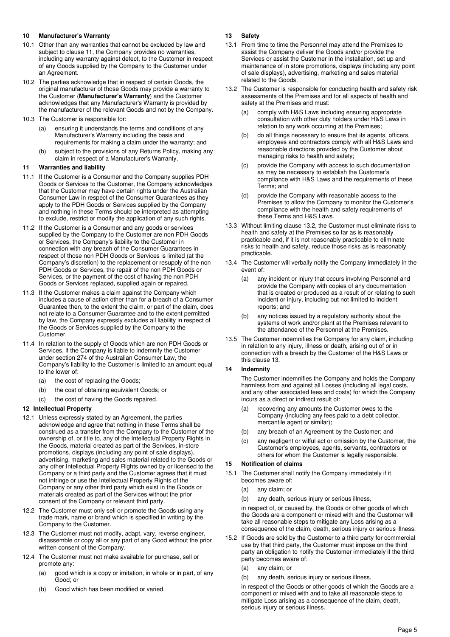### **10 Manufacturer's Warranty**

- 10.1 Other than any warranties that cannot be excluded by law and subject to clause 11, the Company provides no warranties, including any warranty against defect, to the Customer in respect of any Goods supplied by the Company to the Customer under an Agreement.
- 10.2 The parties acknowledge that in respect of certain Goods, the original manufacturer of those Goods may provide a warranty to the Customer (**Manufacturer's Warranty**) and the Customer acknowledges that any Manufacturer's Warranty is provided by the manufacturer of the relevant Goods and not by the Company.
- 10.3 The Customer is responsible for:
	- (a) ensuring it understands the terms and conditions of any Manufacturer's Warranty including the basis and requirements for making a claim under the warranty; and
	- (b) subject to the provisions of any Returns Policy, making any claim in respect of a Manufacturer's Warranty.

#### **11 Warranties and liability**

- 11.1 If the Customer is a Consumer and the Company supplies PDH Goods or Services to the Customer, the Company acknowledges that the Customer may have certain rights under the Australian Consumer Law in respect of the Consumer Guarantees as they apply to the PDH Goods or Services supplied by the Company and nothing in these Terms should be interpreted as attempting to exclude, restrict or modify the application of any such rights.
- 11.2 If the Customer is a Consumer and any goods or services supplied by the Company to the Customer are non PDH Goods or Services, the Company's liability to the Customer in connection with any breach of the Consumer Guarantees in respect of those non PDH Goods or Services is limited (at the Company's discretion) to the replacement or resupply of the non PDH Goods or Services, the repair of the non PDH Goods or Services, or the payment of the cost of having the non PDH Goods or Services replaced, supplied again or repaired.
- 11.3 If the Customer makes a claim against the Company which includes a cause of action other than for a breach of a Consumer Guarantee then, to the extent the claim, or part of the claim, does not relate to a Consumer Guarantee and to the extent permitted by law, the Company expressly excludes all liability in respect of the Goods or Services supplied by the Company to the **Customer**
- 11.4 In relation to the supply of Goods which are non PDH Goods or Services, if the Company is liable to indemnify the Customer under section 274 of the Australian Consumer Law, the Company's liability to the Customer is limited to an amount equal to the lower of:
	- (a) the cost of replacing the Goods;
	- (b) the cost of obtaining equivalent Goods; or
	- (c) the cost of having the Goods repaired.

#### **12 Intellectual Property**

- 12.1 Unless expressly stated by an Agreement, the parties acknowledge and agree that nothing in these Terms shall be construed as a transfer from the Company to the Customer of the ownership of, or title to, any of the Intellectual Property Rights in the Goods, material created as part of the Services, in-store promotions, displays (including any point of sale displays), advertising, marketing and sales material related to the Goods or any other Intellectual Property Rights owned by or licensed to the Company or a third party and the Customer agrees that it must not infringe or use the Intellectual Property Rights of the Company or any other third party which exist in the Goods or materials created as part of the Services without the prior consent of the Company or relevant third party.
- 12.2 The Customer must only sell or promote the Goods using any trade mark, name or brand which is specified in writing by the Company to the Customer.
- 12.3 The Customer must not modify, adapt, vary, reverse engineer, disassemble or copy all or any part of any Good without the prior written consent of the Company.
- 12.4 The Customer must not make available for purchase, sell or promote any
	- (a) good which is a copy or imitation, in whole or in part, of any Good; or
	- (b) Good which has been modified or varied.

#### **13 Safety**

- 13.1 From time to time the Personnel may attend the Premises to assist the Company deliver the Goods and/or provide the Services or assist the Customer in the installation, set up and maintenance of in store promotions, displays (including any point of sale displays), advertising, marketing and sales material related to the Goods.
- 13.2 The Customer is responsible for conducting health and safety risk assessments of the Premises and for all aspects of health and safety at the Premises and must:
	- comply with H&S Laws including ensuring appropriate consultation with other duty holders under H&S Laws in relation to any work occurring at the Premises;
	- (b) do all things necessary to ensure that its agents, officers, employees and contractors comply with all H&S Laws and reasonable directions provided by the Customer about managing risks to health and safety;
	- (c) provide the Company with access to such documentation as may be necessary to establish the Customer's compliance with H&S Laws and the requirements of these Terms; and
	- (d) provide the Company with reasonable access to the Premises to allow the Company to monitor the Customer's compliance with the health and safety requirements of these Terms and H&S Laws.
- 13.3 Without limiting clause 13.2, the Customer must eliminate risks to health and safety at the Premises so far as is reasonably practicable and, if it is not reasonably practicable to eliminate risks to health and safety, reduce those risks as is reasonably practicable.
- 13.4 The Customer will verbally notify the Company immediately in the event of:
	- (a) any incident or injury that occurs involving Personnel and provide the Company with copies of any documentation that is created or produced as a result of or relating to such incident or injury, including but not limited to incident reports; and
	- (b) any notices issued by a regulatory authority about the systems of work and/or plant at the Premises relevant to the attendance of the Personnel at the Premises.
- 13.5 The Customer indemnifies the Company for any claim, including in relation to any injury, illness or death, arising out of or in connection with a breach by the Customer of the H&S Laws or this clause 13.

#### **14 Indemnity**

The Customer indemnifies the Company and holds the Company harmless from and against all Losses (including all legal costs, and any other associated fees and costs) for which the Company incurs as a direct or indirect result of:

- (a) recovering any amounts the Customer owes to the Company (including any fees paid to a debt collector, mercantile agent or similar);
- (b) any breach of an Agreement by the Customer; and
- (c) any negligent or wilful act or omission by the Customer, the Customer's employees, agents, servants, contractors or others for whom the Customer is legally responsible.

#### **15 Notification of claims**

- 15.1 The Customer shall notify the Company immediately if it becomes aware of:
	- (a) any claim; or
	- (b) any death, serious injury or serious illness,

in respect of, or caused by, the Goods or other goods of which the Goods are a component or mixed with and the Customer will take all reasonable steps to mitigate any Loss arising as a consequence of the claim, death, serious injury or serious illness.

- 15.2 If Goods are sold by the Customer to a third party for commercial use by that third party, the Customer must impose on the third party an obligation to notify the Customer immediately if the third party becomes aware of:
	- (a) any claim; or
	- (b) any death, serious injury or serious illness,

in respect of the Goods or other goods of which the Goods are a component or mixed with and to take all reasonable steps to mitigate Loss arising as a consequence of the claim, death, serious injury or serious illness.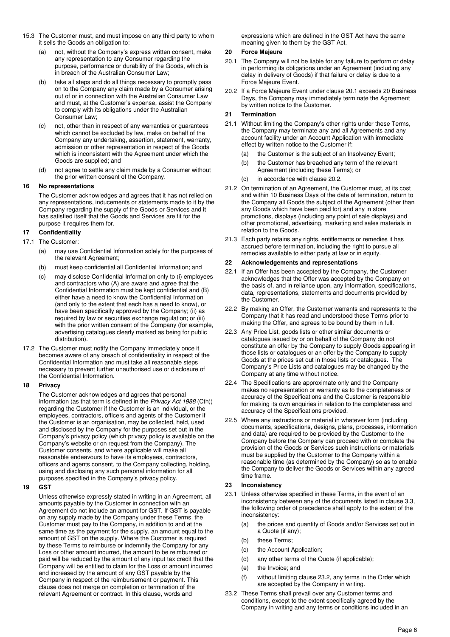- 15.3 The Customer must, and must impose on any third party to whom it sells the Goods an obligation to:
	- (a) not, without the Company's express written consent, make any representation to any Consumer regarding the purpose, performance or durability of the Goods, which is in breach of the Australian Consumer Law;
	- (b) take all steps and do all things necessary to promptly pass on to the Company any claim made by a Consumer arising out of or in connection with the Australian Consumer Law and must, at the Customer's expense, assist the Company to comply with its obligations under the Australian Consumer Law;
	- (c) not, other than in respect of any warranties or guarantees which cannot be excluded by law, make on behalf of the Company any undertaking, assertion, statement, warranty, admission or other representation in respect of the Goods which is inconsistent with the Agreement under which the Goods are supplied; and
	- (d) not agree to settle any claim made by a Consumer without the prior written consent of the Company.

#### **16 No representations**

The Customer acknowledges and agrees that it has not relied on any representations, inducements or statements made to it by the Company regarding the supply of the Goods or Services and it has satisfied itself that the Goods and Services are fit for the purpose it requires them for.

### **17 Confidentiality**

- 17.1 The Customer:
	- (a) may use Confidential Information solely for the purposes of the relevant Agreement;
	- (b) must keep confidential all Confidential Information; and
	- (c) may disclose Confidential Information only to (i) employees and contractors who (A) are aware and agree that the Confidential Information must be kept confidential and (B) either have a need to know the Confidential Information (and only to the extent that each has a need to know), or have been specifically approved by the Company; (ii) as required by law or securities exchange regulation; or (iii) with the prior written consent of the Company (for example, advertising catalogues clearly marked as being for public distribution).
- 17.2 The Customer must notify the Company immediately once it becomes aware of any breach of confidentiality in respect of the Confidential Information and must take all reasonable steps necessary to prevent further unauthorised use or disclosure of the Confidential Information.

### **18 Privacy**

The Customer acknowledges and agrees that personal information (as that term is defined in the Privacy Act 1988 (Cth)) regarding the Customer if the Customer is an individual, or the employees, contractors, officers and agents of the Customer if the Customer is an organisation, may be collected, held, used and disclosed by the Company for the purposes set out in the Company's privacy policy (which privacy policy is available on the Company's website or on request from the Company). The Customer consents, and where applicable will make all reasonable endeavours to have its employees, contractors, officers and agents consent, to the Company collecting, holding, using and disclosing any such personal information for all purposes specified in the Company's privacy policy.

#### **19 GST**

Unless otherwise expressly stated in writing in an Agreement, all amounts payable by the Customer in connection with an Agreement do not include an amount for GST. If GST is payable on any supply made by the Company under these Terms, the Customer must pay to the Company, in addition to and at the same time as the payment for the supply, an amount equal to the amount of GST on the supply. Where the Customer is required by these Terms to reimburse or indemnify the Company for any Loss or other amount incurred, the amount to be reimbursed or paid will be reduced by the amount of any input tax credit that the Company will be entitled to claim for the Loss or amount incurred and increased by the amount of any GST payable by the Company in respect of the reimbursement or payment. This clause does not merge on completion or termination of the relevant Agreement or contract. In this clause, words and

expressions which are defined in the GST Act have the same meaning given to them by the GST Act.

#### **20 Force Majeure**

- 20.1 The Company will not be liable for any failure to perform or delay in performing its obligations under an Agreement (including any delay in delivery of Goods) if that failure or delay is due to a Force Majeure Event.
- 20.2 If a Force Majeure Event under clause 20.1 exceeds 20 Business Days, the Company may immediately terminate the Agreement by written notice to the Customer.

#### **21 Termination**

- 21.1 Without limiting the Company's other rights under these Terms, the Company may terminate any and all Agreements and any account facility under an Account Application with immediate effect by written notice to the Customer if:
	- (a) the Customer is the subject of an Insolvency Event;
	- (b) the Customer has breached any term of the relevant Agreement (including these Terms); or
	- (c) in accordance with clause 20.2.
- 21.2 On termination of an Agreement, the Customer must, at its cost and within 10 Business Days of the date of termination, return to the Company all Goods the subject of the Agreement (other than any Goods which have been paid for) and any in store promotions, displays (including any point of sale displays) and other promotional, advertising, marketing and sales materials in relation to the Goods.
- 21.3 Each party retains any rights, entitlements or remedies it has accrued before termination, including the right to pursue all remedies available to either party at law or in equity.

#### **22 Acknowledgements and representations**

- 22.1 If an Offer has been accepted by the Company, the Customer acknowledges that the Offer was accepted by the Company on the basis of, and in reliance upon, any information, specifications, data, representations, statements and documents provided by the Customer.
- 22.2 By making an Offer, the Customer warrants and represents to the Company that it has read and understood these Terms prior to making the Offer, and agrees to be bound by them in full.
- 22.3 Any Price List, goods lists or other similar documents or catalogues issued by or on behalf of the Company do not constitute an offer by the Company to supply Goods appearing in those lists or catalogues or an offer by the Company to supply Goods at the prices set out in those lists or catalogues. The Company's Price Lists and catalogues may be changed by the Company at any time without notice.
- 22.4 The Specifications are approximate only and the Company makes no representation or warranty as to the completeness or accuracy of the Specifications and the Customer is responsible for making its own enquiries in relation to the completeness and accuracy of the Specifications provided.
- 22.5 Where any instructions or material in whatever form (including documents, specifications, designs, plans, processes, information and data) are required to be provided by the Customer to the Company before the Company can proceed with or complete the provision of the Goods or Services such instructions or materials must be supplied by the Customer to the Company within a reasonable time (as determined by the Company) so as to enable the Company to deliver the Goods or Services within any agreed time frame.

### **23 Inconsistency**

- 23.1 Unless otherwise specified in these Terms, in the event of an inconsistency between any of the documents listed in clause 3.3, the following order of precedence shall apply to the extent of the inconsistency:
	- (a) the prices and quantity of Goods and/or Services set out in a Quote (if any);
	- (b) these Terms;
	- (c) the Account Application;
	- (d) any other terms of the Quote (if applicable);
	- (e) the Invoice; and
	- (f) without limiting clause 23.2, any terms in the Order which are accepted by the Company in writing.
- 23.2 These Terms shall prevail over any Customer terms and conditions, except to the extent specifically agreed by the Company in writing and any terms or conditions included in an